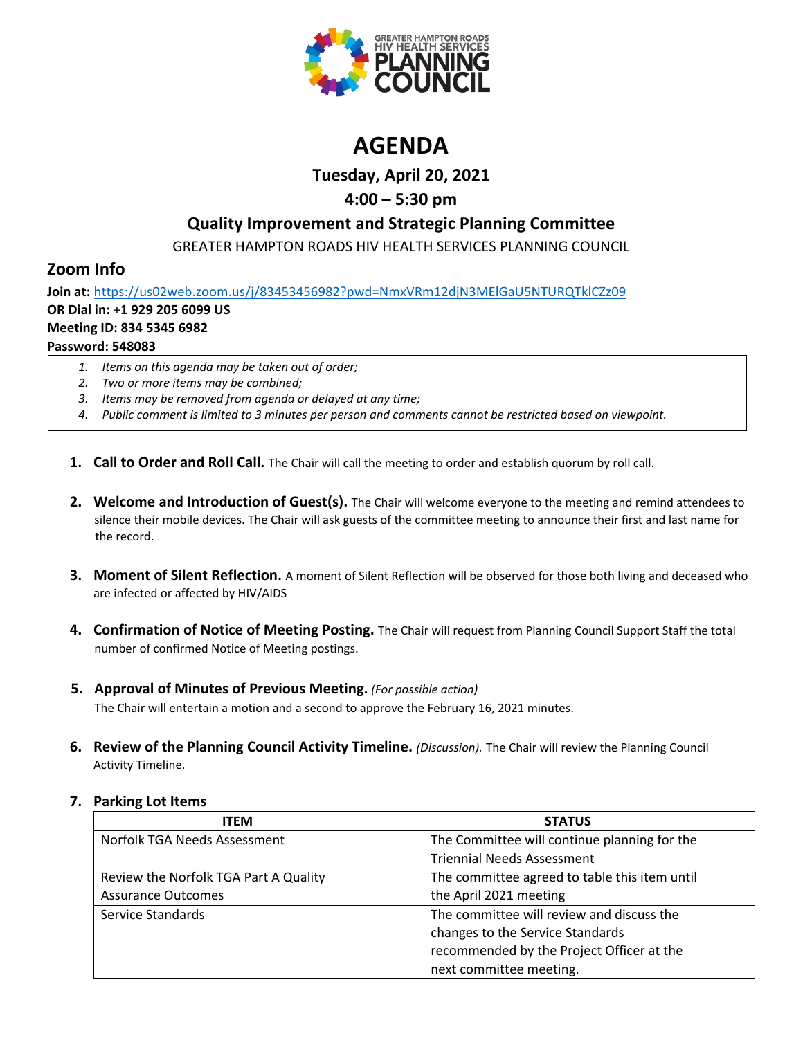

# **AGENDA**

**Tuesday, April 20, 2021**

# **4:00 – 5:30 pm**

# **Quality Improvement and Strategic Planning Committee**

GREATER HAMPTON ROADS HIV HEALTH SERVICES PLANNING COUNCIL

# **Zoom Info**

**Join at:** <https://us02web.zoom.us/j/83453456982?pwd=NmxVRm12djN3MElGaU5NTURQTklCZz09> **OR Dial in:** +**1 929 205 6099 US Meeting ID: 834 5345 6982 Password: 548083**

- *1. Items on this agenda may be taken out of order;*
- *2. Two or more items may be combined;*
- *3. Items may be removed from agenda or delayed at any time;*
- *4. Public comment is limited to 3 minutes per person and comments cannot be restricted based on viewpoint.*
- **1. Call to Order and Roll Call.** The Chair will call the meeting to order and establish quorum by roll call.
- **2. Welcome and Introduction of Guest(s).** The Chair will welcome everyone to the meeting and remind attendees to silence their mobile devices. The Chair will ask guests of the committee meeting to announce their first and last name for the record.
- **3. Moment of Silent Reflection.** A moment of Silent Reflection will be observed for those both living and deceased who are infected or affected by HIV/AIDS
- **4. Confirmation of Notice of Meeting Posting.** The Chair will request from Planning Council Support Staff the total number of confirmed Notice of Meeting postings.
- **5. Approval of Minutes of Previous Meeting.** *(For possible action)*

The Chair will entertain a motion and a second to approve the February 16, 2021 minutes.

**6. Review of the Planning Council Activity Timeline.** *(Discussion).* The Chair will review the Planning Council Activity Timeline.

## **7. Parking Lot Items**

| <b>ITEM</b>                           | <b>STATUS</b>                                 |
|---------------------------------------|-----------------------------------------------|
| Norfolk TGA Needs Assessment          | The Committee will continue planning for the  |
|                                       | <b>Triennial Needs Assessment</b>             |
| Review the Norfolk TGA Part A Quality | The committee agreed to table this item until |
| <b>Assurance Outcomes</b>             | the April 2021 meeting                        |
| Service Standards                     | The committee will review and discuss the     |
|                                       | changes to the Service Standards              |
|                                       | recommended by the Project Officer at the     |
|                                       | next committee meeting.                       |